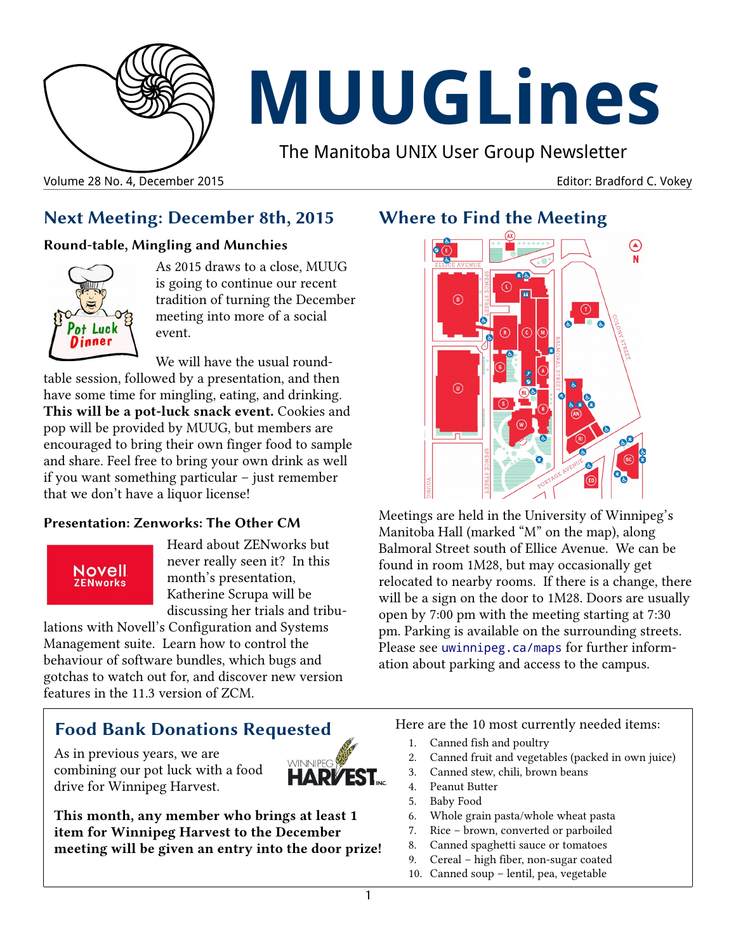

# **MUUGLines**

The Manitoba UNIX User Group Newsletter

Volume 28 No. 4, December 2015 Editor: Bradford C. Vokey

## **Next Meeting: December 8th, 2015**

#### **Round-table, Mingling and Munchies**



As 2015 draws to a close, MUUG is going to continue our recent tradition of turning the December meeting into more of a social event.

We will have the usual roundtable session, followed by a presentation, and then have some time for mingling, eating, and drinking. **This will be a pot-luck snack event.** Cookies and pop will be provided by MUUG, but members are encouraged to bring their own finger food to sample and share. Feel free to bring your own drink as well if you want something particular – just remember that we don't have a liquor license!

#### **Presentation: Zenworks: The Other CM**

#### Novell **ZENworks**

Heard about ZENworks but never really seen it? In this month's presentation, Katherine Scrupa will be discussing her trials and tribu-

lations with Novell's Configuration and Systems Management suite. Learn how to control the behaviour of software bundles, which bugs and gotchas to watch out for, and discover new version features in the 11.3 version of ZCM.

# **Food Bank Donations Requested**

As in previous years, we are combining our pot luck with a food drive for Winnipeg Harvest.



**This month, any member who brings at least 1 item for Winnipeg Harvest to the December meeting will be given an entry into the door prize!**

## **Where to Find the Meeting**



Meetings are held in the University of Winnipeg's Manitoba Hall (marked "M" on the map), along Balmoral Street south of Ellice Avenue. We can be found in room 1M28, but may occasionally get relocated to nearby rooms. If there is a change, there will be a sign on the door to 1M28. Doors are usually open by 7:00 pm with the meeting starting at 7:30 pm. Parking is available on the surrounding streets. Please see [uwinnipeg.ca/maps](http://www.uwinnipeg.ca/maps) for further information about parking and access to the campus.

Here are the 10 most currently needed items:

- 1. Canned fish and poultry
- 2. Canned fruit and vegetables (packed in own juice)
- 3. Canned stew, chili, brown beans
- 4. Peanut Butter
- 5. Baby Food
- 6. Whole grain pasta/whole wheat pasta
- 7. Rice brown, converted or parboiled
- 8. Canned spaghetti sauce or tomatoes
- 9. Cereal high fiber, non-sugar coated
- 10. Canned soup lentil, pea, vegetable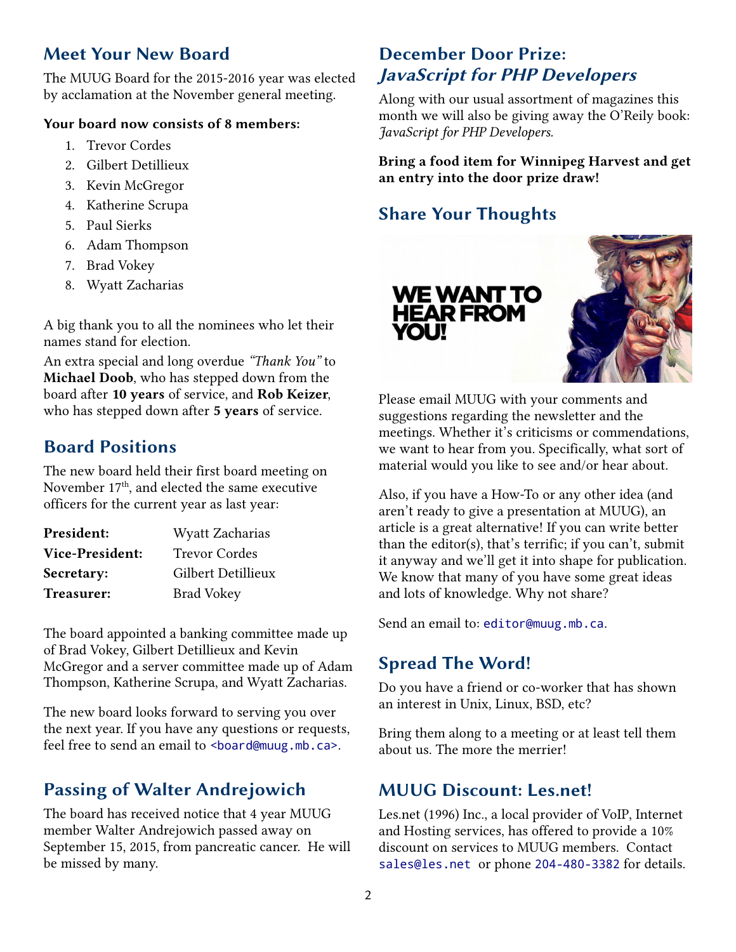## **Meet Your New Board**

The MUUG Board for the 2015-2016 year was elected by acclamation at the November general meeting.

#### **Your board now consists of 8 members:**

- 1. Trevor Cordes
- 2. Gilbert Detillieux
- 3. Kevin McGregor
- 4. Katherine Scrupa
- 5. Paul Sierks
- 6. Adam Thompson
- 7. Brad Vokey
- 8. Wyatt Zacharias

A big thank you to all the nominees who let their names stand for election.

An extra special and long overdue *"Thank You"* to **Michael Doob**, who has stepped down from the board after **10 years** of service, and **Rob Keizer**, who has stepped down after **5 years** of service.

## **Board Positions**

The new board held their first board meeting on November 17<sup>th</sup>, and elected the same executive officers for the current year as last year:

| <b>President:</b>      | Wyatt Zacharias      |
|------------------------|----------------------|
| <b>Vice-President:</b> | <b>Trevor Cordes</b> |
| Secretary:             | Gilbert Detillieux   |
| Treasurer:             | <b>Brad Vokey</b>    |

The board appointed a banking committee made up of Brad Vokey, Gilbert Detillieux and Kevin McGregor and a server committee made up of Adam Thompson, Katherine Scrupa, and Wyatt Zacharias.

The new board looks forward to serving you over the next year. If you have any questions or requests, feel free to send an email to <br/>board@muug.mb.ca>.

# **Passing of Walter Andrejowich**

The board has received notice that 4 year MUUG member Walter Andrejowich passed away on September 15, 2015, from pancreatic cancer. He will be missed by many.

# **December Door Prize: JavaScript for PHP Developers**

Along with our usual assortment of magazines this month we will also be giving away the O'Reily book: *JavaScript for PHP Developers.*

**Bring a food item for Winnipeg Harvest and get an entry into the door prize draw!**

# **Share Your Thoughts**



Please email MUUG with your comments and suggestions regarding the newsletter and the meetings. Whether it's criticisms or commendations, we want to hear from you. Specifically, what sort of material would you like to see and/or hear about.

Also, if you have a How-To or any other idea (and aren't ready to give a presentation at MUUG), an article is a great alternative! If you can write better than the editor(s), that's terrific; if you can't, submit it anyway and we'll get it into shape for publication. We know that many of you have some great ideas and lots of knowledge. Why not share?

Send an email to: editor@muug.mb.ca.

# **Spread The Word!**

Do you have a friend or co-worker that has shown an interest in Unix, Linux, BSD, etc?

Bring them along to a meeting or at least tell them about us. The more the merrier!

# **MUUG Discount: Les.net!**

Les.net (1996) Inc., a local provider of VoIP, Internet and Hosting services, has offered to provide a 10% discount on services to MUUG members. Contact [sales@les.net](mailto:sales@les.net) or phone [204-480-3382](tel:+1-204-480-3382) for details.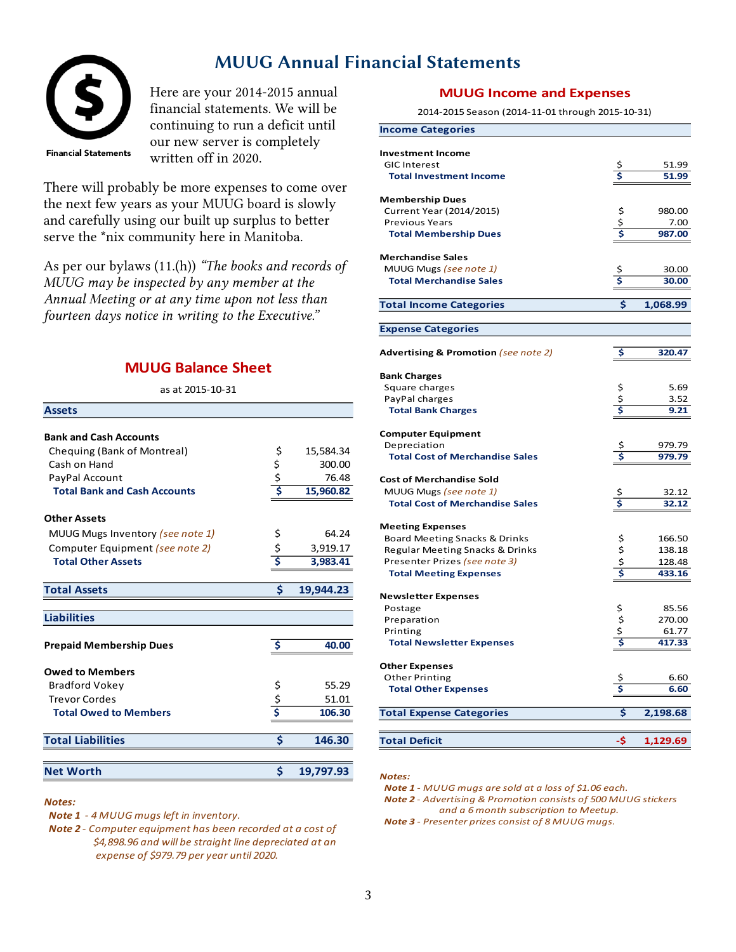### **MUUG Annual Financial Statements**



Here are your 2014-2015 annual financial statements. We will be continuing to run a deficit until our new server is completely written off in 2020.

There will probably be more expenses to come over the next few years as your MUUG board is slowly and carefully using our built up surplus to better serve the \*nix community here in Manitoba.

As per our bylaws (11.(h)) *"The books and records of MUUG may be inspected by any member at the Annual Meeting or at any time upon not less than fourteen days notice in writing to the Executive."*

#### **MUUG Balance Sheet**

as at 2015-10-31

| <b>Assets</b>                       |               |           |
|-------------------------------------|---------------|-----------|
|                                     |               |           |
| <b>Bank and Cash Accounts</b>       |               |           |
| Chequing (Bank of Montreal)         | \$            | 15,584.34 |
| Cash on Hand                        | \$            | 300.00    |
| PayPal Account                      | $rac{5}{5}$   | 76.48     |
| <b>Total Bank and Cash Accounts</b> |               | 15,960.82 |
| <b>Other Assets</b>                 |               |           |
| MUUG Mugs Inventory (see note 1)    | \$            | 64.24     |
| Computer Equipment (see note 2)     | $rac{5}{5}$   | 3,919.17  |
| <b>Total Other Assets</b>           |               | 3,983.41  |
|                                     |               |           |
| <b>Total Assets</b>                 | \$            | 19,944.23 |
| <b>Liabilities</b>                  |               |           |
|                                     |               |           |
| <b>Prepaid Membership Dues</b>      |               | 40.00     |
| <b>Owed to Members</b>              |               |           |
| <b>Bradford Vokey</b>               |               | 55.29     |
| <b>Trevor Cordes</b>                | $\frac{5}{5}$ | 51.01     |
| <b>Total Owed to Members</b>        |               | 106.30    |
| <b>Total Liabilities</b>            | Ś             | 146.30    |
|                                     |               |           |
| <b>Net Worth</b>                    | Ś             | 19,797.93 |

#### *Notes:*

- *Note 1 4 MUUG mugs left in inventory.*
- *Note 2 Computer equipment has been recorded at a cost of \$4,898.96 and will be straight line depreciated at an expense of \$979.79 per year until 2020.*

#### **MUUG Income and Expenses**

2014-2015 Season (2014-11-01 through 2015-10-31)

| <b>Income Categories</b>                        |                |                |
|-------------------------------------------------|----------------|----------------|
|                                                 |                |                |
| <b>Investment Income</b><br><b>GIC Interest</b> |                |                |
|                                                 | \$<br>\$       | 51.99<br>51.99 |
| <b>Total Investment Income</b>                  |                |                |
| <b>Membership Dues</b>                          |                |                |
| Current Year (2014/2015)                        | \$             | 980.00         |
| <b>Previous Years</b>                           | \$             | 7.00           |
| <b>Total Membership Dues</b>                    | Ś              | 987.00         |
| <b>Merchandise Sales</b>                        |                |                |
| MUUG Mugs (see note 1)                          |                | 30.00          |
| <b>Total Merchandise Sales</b>                  | \$<br>\$       | 30.00          |
| <b>Total Income Categories</b>                  | \$             | 1,068.99       |
|                                                 |                |                |
| <b>Expense Categories</b>                       |                |                |
|                                                 |                |                |
| <b>Advertising &amp; Promotion (see note 2)</b> | \$             | 320.47         |
| <b>Bank Charges</b>                             |                |                |
| Square charges                                  |                | 5.69           |
| PayPal charges                                  | \$<br>\$       | 3.52           |
| <b>Total Bank Charges</b>                       |                | 9.21           |
| <b>Computer Equipment</b>                       |                |                |
| Depreciation                                    |                | 979.79         |
| <b>Total Cost of Merchandise Sales</b>          | \$<br>Ś        | 979.79         |
|                                                 |                |                |
| <b>Cost of Merchandise Sold</b>                 |                |                |
| MUUG Mugs (see note 1)                          | \$             | 32.12          |
| <b>Total Cost of Merchandise Sales</b>          | Ś              | 32.12          |
| <b>Meeting Expenses</b>                         |                |                |
| Board Meeting Snacks & Drinks                   |                | 166.50         |
| Regular Meeting Snacks & Drinks                 | \$\$\$         | 138.18         |
| Presenter Prizes (see note 3)                   |                | 128.48         |
| <b>Total Meeting Expenses</b>                   | \$             | 433.16         |
| <b>Newsletter Expenses</b>                      |                |                |
| Postage                                         |                | 85.56          |
| Preparation                                     |                | 270.00         |
| Printing                                        | \$<br>\$<br>\$ | 61.77          |
| <b>Total Newsletter Expenses</b>                | \$             | 417.33         |
| <b>Other Expenses</b>                           |                |                |
| Other Printing                                  | \$             | 6.60           |
| <b>Total Other Expenses</b>                     | \$             | 6.60           |
|                                                 |                |                |
| <b>Total Expense Categories</b>                 | \$             | 2,198.68       |
|                                                 |                |                |
| <b>Total Deficit</b>                            | -\$            | 1,129.69       |

#### *Notes:*

 *Note 1 - MUUG mugs are sold at a loss of \$1.06 each.*

 *Note 2 - Advertising & Promotion consists of 500 MUUG stickers and a 6 month subscription to Meetup.*

 *Note 3 - Presenter prizes consist of 8 MUUG mugs.*